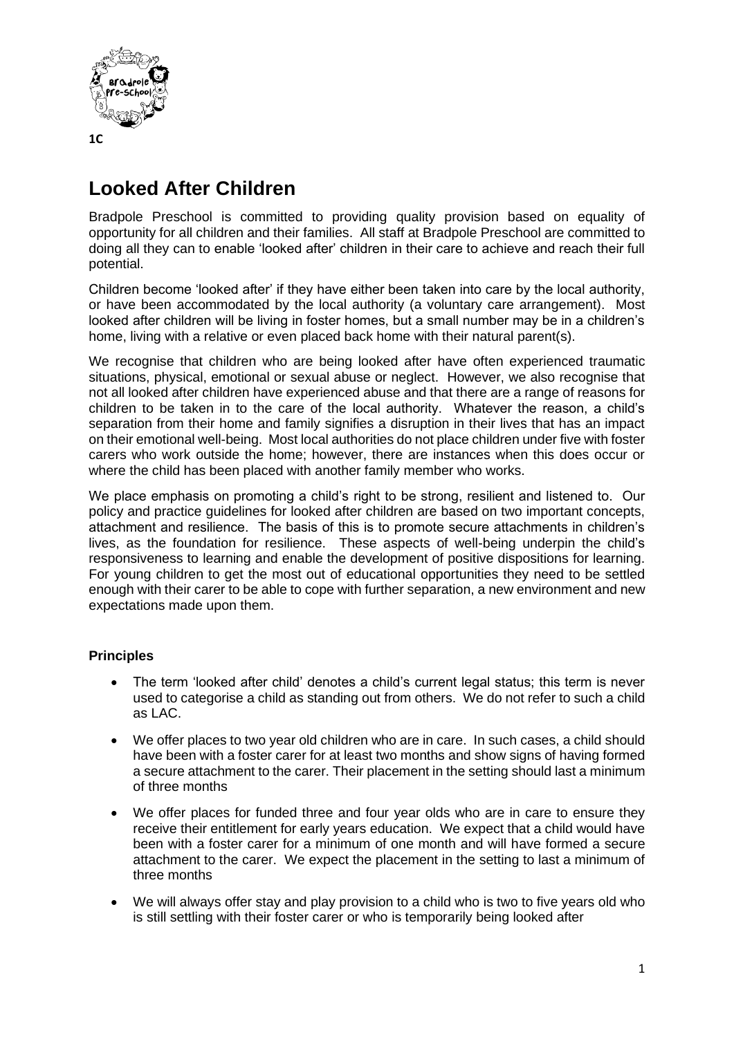

## **Looked After Children**

Bradpole Preschool is committed to providing quality provision based on equality of opportunity for all children and their families. All staff at Bradpole Preschool are committed to doing all they can to enable 'looked after' children in their care to achieve and reach their full potential.

Children become 'looked after' if they have either been taken into care by the local authority, or have been accommodated by the local authority (a voluntary care arrangement). Most looked after children will be living in foster homes, but a small number may be in a children's home, living with a relative or even placed back home with their natural parent(s).

We recognise that children who are being looked after have often experienced traumatic situations, physical, emotional or sexual abuse or neglect. However, we also recognise that not all looked after children have experienced abuse and that there are a range of reasons for children to be taken in to the care of the local authority. Whatever the reason, a child's separation from their home and family signifies a disruption in their lives that has an impact on their emotional well-being. Most local authorities do not place children under five with foster carers who work outside the home; however, there are instances when this does occur or where the child has been placed with another family member who works.

We place emphasis on promoting a child's right to be strong, resilient and listened to. Our policy and practice guidelines for looked after children are based on two important concepts, attachment and resilience. The basis of this is to promote secure attachments in children's lives, as the foundation for resilience. These aspects of well-being underpin the child's responsiveness to learning and enable the development of positive dispositions for learning. For young children to get the most out of educational opportunities they need to be settled enough with their carer to be able to cope with further separation, a new environment and new expectations made upon them.

## **Principles**

- The term 'looked after child' denotes a child's current legal status; this term is never used to categorise a child as standing out from others. We do not refer to such a child as LAC.
- We offer places to two year old children who are in care. In such cases, a child should have been with a foster carer for at least two months and show signs of having formed a secure attachment to the carer. Their placement in the setting should last a minimum of three months
- We offer places for funded three and four year olds who are in care to ensure they receive their entitlement for early years education. We expect that a child would have been with a foster carer for a minimum of one month and will have formed a secure attachment to the carer. We expect the placement in the setting to last a minimum of three months
- We will always offer stay and play provision to a child who is two to five years old who is still settling with their foster carer or who is temporarily being looked after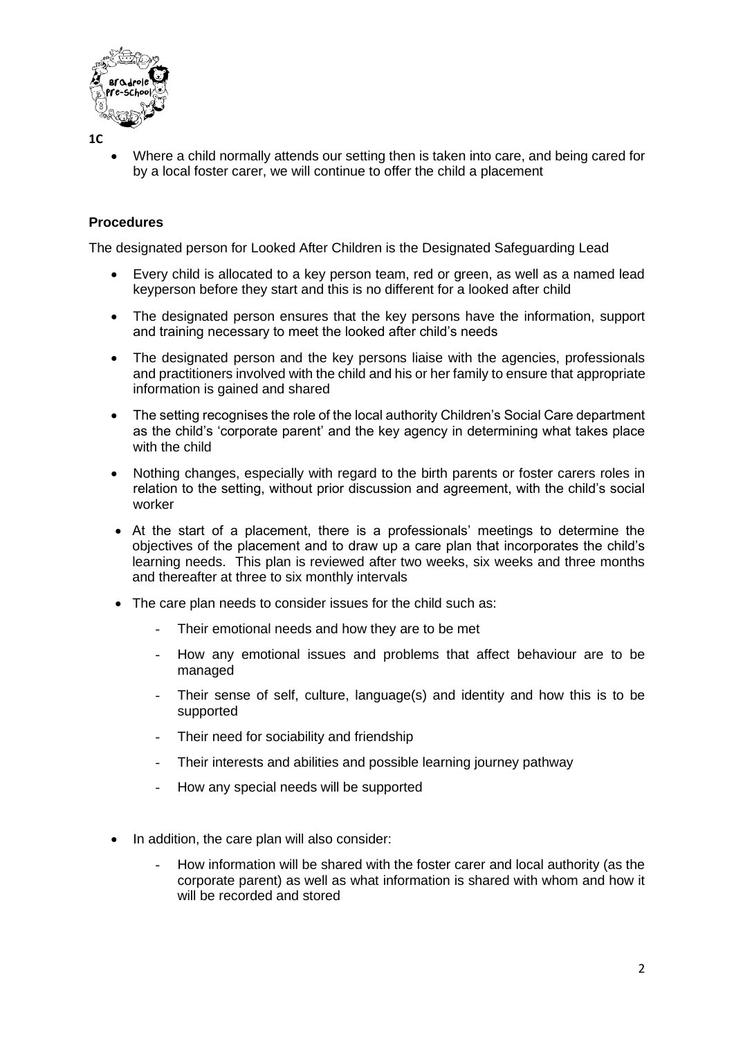

**1C**

• Where a child normally attends our setting then is taken into care, and being cared for by a local foster carer, we will continue to offer the child a placement

## **Procedures**

The designated person for Looked After Children is the Designated Safeguarding Lead

- Every child is allocated to a key person team, red or green, as well as a named lead keyperson before they start and this is no different for a looked after child
- The designated person ensures that the key persons have the information, support and training necessary to meet the looked after child's needs
- The designated person and the key persons liaise with the agencies, professionals and practitioners involved with the child and his or her family to ensure that appropriate information is gained and shared
- The setting recognises the role of the local authority Children's Social Care department as the child's 'corporate parent' and the key agency in determining what takes place with the child
- Nothing changes, especially with regard to the birth parents or foster carers roles in relation to the setting, without prior discussion and agreement, with the child's social worker
- At the start of a placement, there is a professionals' meetings to determine the objectives of the placement and to draw up a care plan that incorporates the child's learning needs. This plan is reviewed after two weeks, six weeks and three months and thereafter at three to six monthly intervals
- The care plan needs to consider issues for the child such as:
	- Their emotional needs and how they are to be met
	- How any emotional issues and problems that affect behaviour are to be managed
	- Their sense of self, culture, language(s) and identity and how this is to be supported
	- Their need for sociability and friendship
	- Their interests and abilities and possible learning journey pathway
	- How any special needs will be supported
- In addition, the care plan will also consider:
	- How information will be shared with the foster carer and local authority (as the corporate parent) as well as what information is shared with whom and how it will be recorded and stored